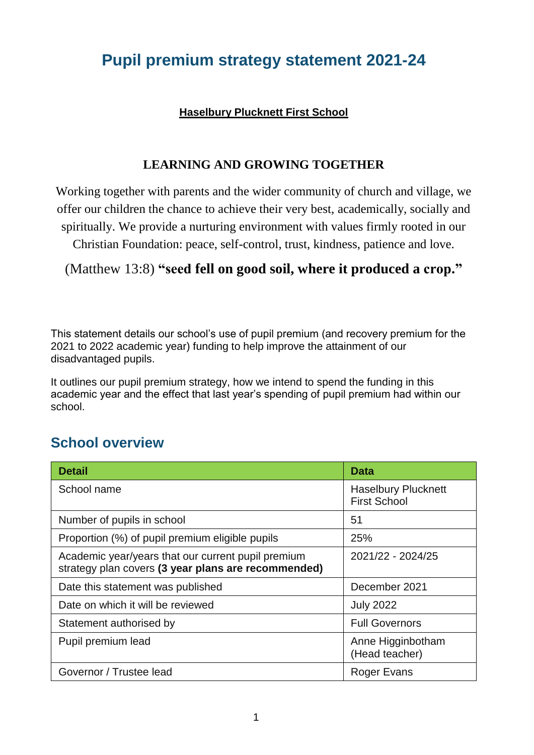## **Pupil premium strategy statement 2021-24**

#### **Haselbury Plucknett First School**

#### **LEARNING AND GROWING TOGETHER**

Working together with parents and the wider community of church and village, we offer our children the chance to achieve their very best, academically, socially and spiritually. We provide a nurturing environment with values firmly rooted in our

Christian Foundation: peace, self-control, trust, kindness, patience and love.

(Matthew 13:8) **"seed fell on good soil, where it produced a crop."**

This statement details our school's use of pupil premium (and recovery premium for the 2021 to 2022 academic year) funding to help improve the attainment of our disadvantaged pupils.

It outlines our pupil premium strategy, how we intend to spend the funding in this academic year and the effect that last year's spending of pupil premium had within our school.

#### **School overview**

| <b>Detail</b>                                                                                             | Data                                              |
|-----------------------------------------------------------------------------------------------------------|---------------------------------------------------|
| School name                                                                                               | <b>Haselbury Plucknett</b><br><b>First School</b> |
| Number of pupils in school                                                                                | 51                                                |
| Proportion (%) of pupil premium eligible pupils                                                           | 25%                                               |
| Academic year/years that our current pupil premium<br>strategy plan covers (3 year plans are recommended) | 2021/22 - 2024/25                                 |
| Date this statement was published                                                                         | December 2021                                     |
| Date on which it will be reviewed                                                                         | <b>July 2022</b>                                  |
| Statement authorised by                                                                                   | <b>Full Governors</b>                             |
| Pupil premium lead                                                                                        | Anne Higginbotham<br>(Head teacher)               |
| Governor / Trustee lead                                                                                   | Roger Evans                                       |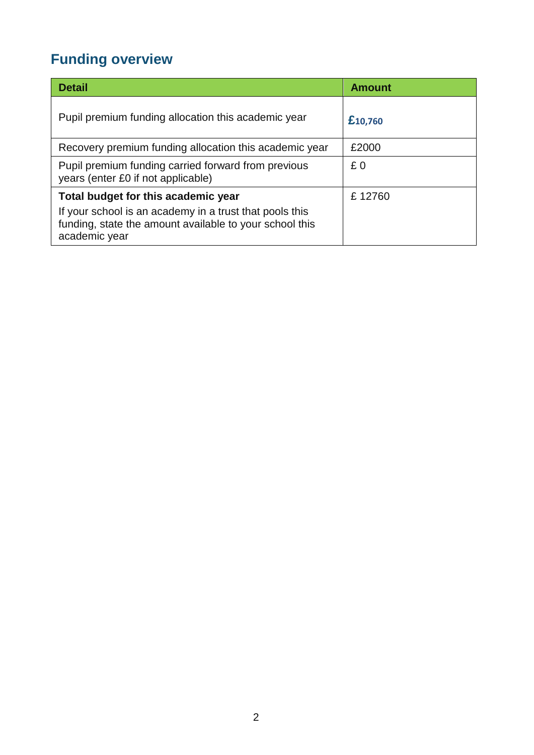# **Funding overview**

| <b>Detail</b>                                                                                                                                                              | <b>Amount</b> |
|----------------------------------------------------------------------------------------------------------------------------------------------------------------------------|---------------|
| Pupil premium funding allocation this academic year                                                                                                                        | £10,760       |
| Recovery premium funding allocation this academic year                                                                                                                     | £2000         |
| Pupil premium funding carried forward from previous<br>years (enter £0 if not applicable)                                                                                  | £0            |
| Total budget for this academic year<br>If your school is an academy in a trust that pools this<br>funding, state the amount available to your school this<br>academic year | £12760        |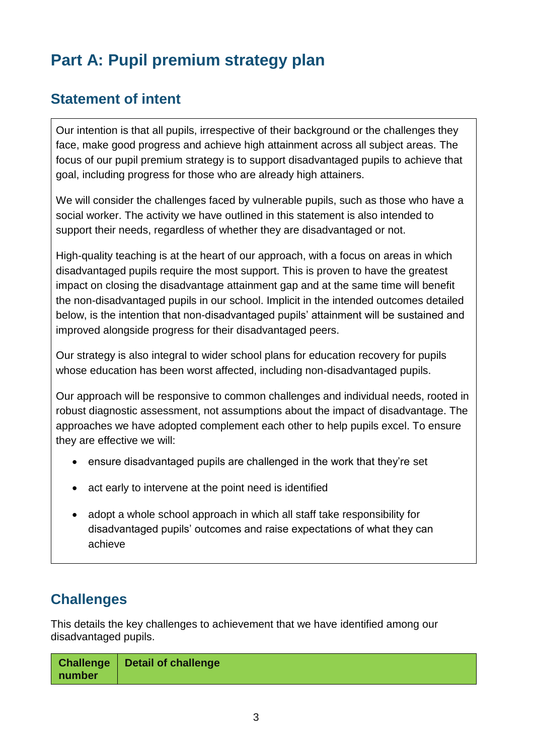# **Part A: Pupil premium strategy plan**

### **Statement of intent**

Our intention is that all pupils, irrespective of their background or the challenges they face, make good progress and achieve high attainment across all subject areas. The focus of our pupil premium strategy is to support disadvantaged pupils to achieve that goal, including progress for those who are already high attainers.

We will consider the challenges faced by vulnerable pupils, such as those who have a social worker. The activity we have outlined in this statement is also intended to support their needs, regardless of whether they are disadvantaged or not.

High-quality teaching is at the heart of our approach, with a focus on areas in which disadvantaged pupils require the most support. This is proven to have the greatest impact on closing the disadvantage attainment gap and at the same time will benefit the non-disadvantaged pupils in our school. Implicit in the intended outcomes detailed below, is the intention that non-disadvantaged pupils' attainment will be sustained and improved alongside progress for their disadvantaged peers.

Our strategy is also integral to wider school plans for education recovery for pupils whose education has been worst affected, including non-disadvantaged pupils.

Our approach will be responsive to common challenges and individual needs, rooted in robust diagnostic assessment, not assumptions about the impact of disadvantage. The approaches we have adopted complement each other to help pupils excel. To ensure they are effective we will:

- ensure disadvantaged pupils are challenged in the work that they're set
- act early to intervene at the point need is identified
- adopt a whole school approach in which all staff take responsibility for disadvantaged pupils' outcomes and raise expectations of what they can achieve

### **Challenges**

This details the key challenges to achievement that we have identified among our disadvantaged pupils.

| number | <b>Challenge   Detail of challenge</b> |
|--------|----------------------------------------|
|--------|----------------------------------------|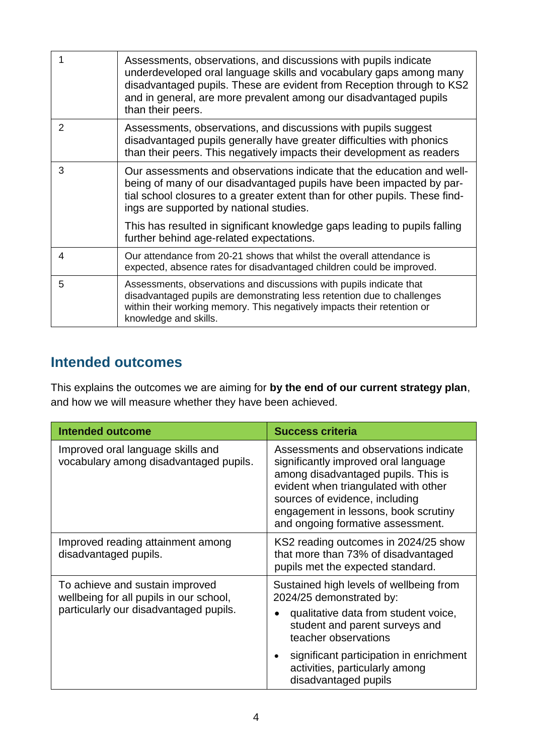|   | Assessments, observations, and discussions with pupils indicate<br>underdeveloped oral language skills and vocabulary gaps among many<br>disadvantaged pupils. These are evident from Reception through to KS2<br>and in general, are more prevalent among our disadvantaged pupils<br>than their peers. |
|---|----------------------------------------------------------------------------------------------------------------------------------------------------------------------------------------------------------------------------------------------------------------------------------------------------------|
| 2 | Assessments, observations, and discussions with pupils suggest<br>disadvantaged pupils generally have greater difficulties with phonics<br>than their peers. This negatively impacts their development as readers                                                                                        |
| 3 | Our assessments and observations indicate that the education and well-<br>being of many of our disadvantaged pupils have been impacted by par-<br>tial school closures to a greater extent than for other pupils. These find-<br>ings are supported by national studies.                                 |
|   | This has resulted in significant knowledge gaps leading to pupils falling<br>further behind age-related expectations.                                                                                                                                                                                    |
| 4 | Our attendance from 20-21 shows that whilst the overall attendance is<br>expected, absence rates for disadvantaged children could be improved.                                                                                                                                                           |
| 5 | Assessments, observations and discussions with pupils indicate that<br>disadvantaged pupils are demonstrating less retention due to challenges<br>within their working memory. This negatively impacts their retention or<br>knowledge and skills.                                                       |

#### **Intended outcomes**

This explains the outcomes we are aiming for **by the end of our current strategy plan**, and how we will measure whether they have been achieved.

| <b>Intended outcome</b>                                                                                              | <b>Success criteria</b>                                                                                                                                                                                                                                                     |
|----------------------------------------------------------------------------------------------------------------------|-----------------------------------------------------------------------------------------------------------------------------------------------------------------------------------------------------------------------------------------------------------------------------|
| Improved oral language skills and<br>vocabulary among disadvantaged pupils.                                          | Assessments and observations indicate<br>significantly improved oral language<br>among disadvantaged pupils. This is<br>evident when triangulated with other<br>sources of evidence, including<br>engagement in lessons, book scrutiny<br>and ongoing formative assessment. |
| Improved reading attainment among<br>disadvantaged pupils.                                                           | KS2 reading outcomes in 2024/25 show<br>that more than 73% of disadvantaged<br>pupils met the expected standard.                                                                                                                                                            |
| To achieve and sustain improved<br>wellbeing for all pupils in our school,<br>particularly our disadvantaged pupils. | Sustained high levels of wellbeing from<br>2024/25 demonstrated by:<br>qualitative data from student voice,<br>student and parent surveys and<br>teacher observations<br>significant participation in enrichment<br>activities, particularly among<br>disadvantaged pupils  |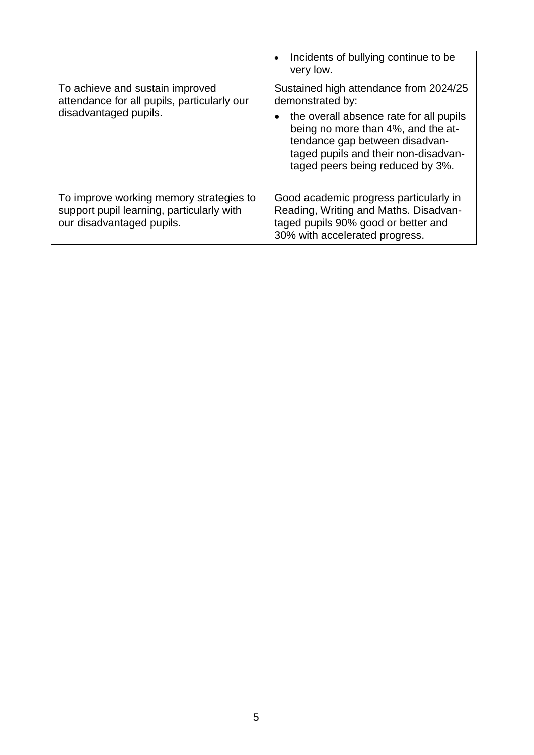|                                                                                                                   | Incidents of bullying continue to be<br>$\bullet$<br>very low.                                                                                                                                           |
|-------------------------------------------------------------------------------------------------------------------|----------------------------------------------------------------------------------------------------------------------------------------------------------------------------------------------------------|
| To achieve and sustain improved<br>attendance for all pupils, particularly our                                    | Sustained high attendance from 2024/25<br>demonstrated by:                                                                                                                                               |
| disadvantaged pupils.                                                                                             | the overall absence rate for all pupils<br>$\bullet$<br>being no more than 4%, and the at-<br>tendance gap between disadvan-<br>taged pupils and their non-disadvan-<br>taged peers being reduced by 3%. |
| To improve working memory strategies to<br>support pupil learning, particularly with<br>our disadvantaged pupils. | Good academic progress particularly in<br>Reading, Writing and Maths. Disadvan-<br>taged pupils 90% good or better and<br>30% with accelerated progress.                                                 |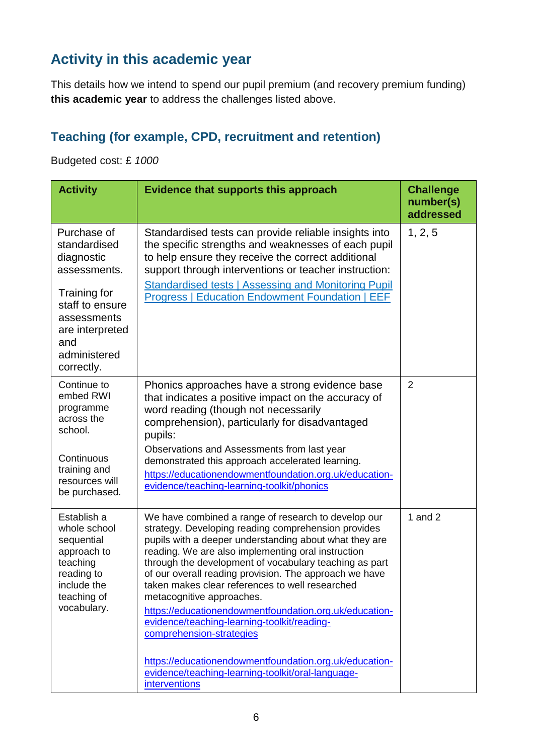## **Activity in this academic year**

This details how we intend to spend our pupil premium (and recovery premium funding) **this academic year** to address the challenges listed above.

#### **Teaching (for example, CPD, recruitment and retention)**

Budgeted cost: £ *1000*

| <b>Activity</b>                                                                                                                                                     | <b>Evidence that supports this approach</b>                                                                                                                                                                                                                                                                                                                                                                                                                                                                                                                                                                                                                                                         | <b>Challenge</b><br>number(s)<br>addressed |
|---------------------------------------------------------------------------------------------------------------------------------------------------------------------|-----------------------------------------------------------------------------------------------------------------------------------------------------------------------------------------------------------------------------------------------------------------------------------------------------------------------------------------------------------------------------------------------------------------------------------------------------------------------------------------------------------------------------------------------------------------------------------------------------------------------------------------------------------------------------------------------------|--------------------------------------------|
| Purchase of<br>standardised<br>diagnostic<br>assessments.<br>Training for<br>staff to ensure<br>assessments<br>are interpreted<br>and<br>administered<br>correctly. | Standardised tests can provide reliable insights into<br>the specific strengths and weaknesses of each pupil<br>to help ensure they receive the correct additional<br>support through interventions or teacher instruction:<br><b>Standardised tests   Assessing and Monitoring Pupil</b><br><b>Progress   Education Endowment Foundation   EEF</b>                                                                                                                                                                                                                                                                                                                                                 | 1, 2, 5                                    |
| Continue to<br>embed RWI<br>programme<br>across the<br>school.<br>Continuous<br>training and<br>resources will<br>be purchased.                                     | Phonics approaches have a strong evidence base<br>that indicates a positive impact on the accuracy of<br>word reading (though not necessarily<br>comprehension), particularly for disadvantaged<br>pupils:<br>Observations and Assessments from last year<br>demonstrated this approach accelerated learning.<br>https://educationendowmentfoundation.org.uk/education-<br>evidence/teaching-learning-toolkit/phonics                                                                                                                                                                                                                                                                               | $\overline{2}$                             |
| Establish a<br>whole school<br>sequential<br>approach to<br>teaching<br>reading to<br>include the<br>teaching of<br>vocabulary.                                     | We have combined a range of research to develop our<br>strategy. Developing reading comprehension provides<br>pupils with a deeper understanding about what they are<br>reading. We are also implementing oral instruction<br>through the development of vocabulary teaching as part<br>of our overall reading provision. The approach we have<br>taken makes clear references to well researched<br>metacognitive approaches.<br>https://educationendowmentfoundation.org.uk/education-<br>evidence/teaching-learning-toolkit/reading-<br>comprehension-strategies<br>https://educationendowmentfoundation.org.uk/education-<br>evidence/teaching-learning-toolkit/oral-language-<br>interventions | 1 and $2$                                  |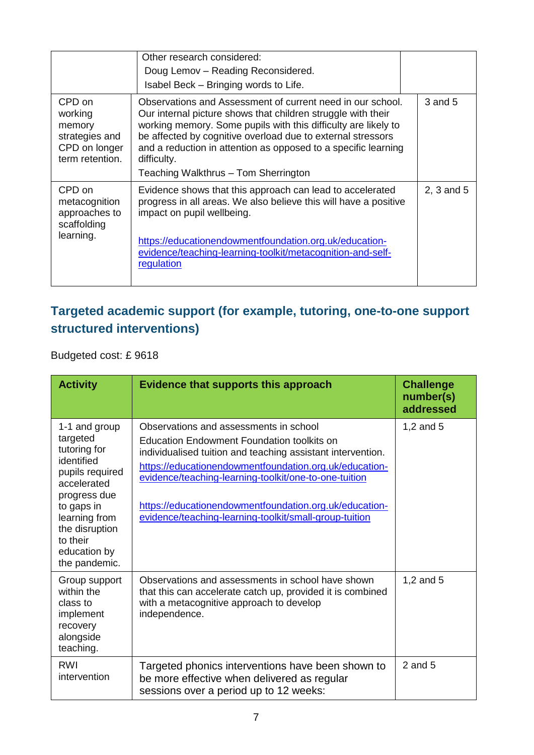|                                                                                   | Other research considered:<br>Doug Lemov - Reading Reconsidered.<br>Isabel Beck - Bringing words to Life.                                                                                                                                                                                                                                                                            |            |
|-----------------------------------------------------------------------------------|--------------------------------------------------------------------------------------------------------------------------------------------------------------------------------------------------------------------------------------------------------------------------------------------------------------------------------------------------------------------------------------|------------|
| CPD on<br>working<br>memory<br>strategies and<br>CPD on longer<br>term retention. | Observations and Assessment of current need in our school.<br>Our internal picture shows that children struggle with their<br>working memory. Some pupils with this difficulty are likely to<br>be affected by cognitive overload due to external stressors<br>and a reduction in attention as opposed to a specific learning<br>difficulty.<br>Teaching Walkthrus - Tom Sherrington | 3 and 5    |
| CPD on<br>metacognition<br>approaches to<br>scaffolding<br>learning.              | Evidence shows that this approach can lead to accelerated<br>progress in all areas. We also believe this will have a positive<br>impact on pupil wellbeing.<br>https://educationendowmentfoundation.org.uk/education-<br>evidence/teaching-learning-toolkit/metacognition-and-self-<br>regulation                                                                                    | 2, 3 and 5 |

#### **Targeted academic support (for example, tutoring, one-to-one support structured interventions)**

Budgeted cost: £ 9618

| <b>Activity</b>                                                                                                                                                                                         | <b>Evidence that supports this approach</b>                                                                                                                                                                                                                                                                                                                                                       | <b>Challenge</b><br>number(s)<br>addressed |
|---------------------------------------------------------------------------------------------------------------------------------------------------------------------------------------------------------|---------------------------------------------------------------------------------------------------------------------------------------------------------------------------------------------------------------------------------------------------------------------------------------------------------------------------------------------------------------------------------------------------|--------------------------------------------|
| 1-1 and group<br>targeted<br>tutoring for<br>identified<br>pupils required<br>accelerated<br>progress due<br>to gaps in<br>learning from<br>the disruption<br>to their<br>education by<br>the pandemic. | Observations and assessments in school<br><b>Education Endowment Foundation toolkits on</b><br>individualised tuition and teaching assistant intervention.<br>https://educationendowmentfoundation.org.uk/education-<br>evidence/teaching-learning-toolkit/one-to-one-tuition<br>https://educationendowmentfoundation.org.uk/education-<br>evidence/teaching-learning-toolkit/small-group-tuition | 1,2 and $5$                                |
| Group support<br>within the<br>class to<br>implement<br>recovery<br>alongside<br>teaching.                                                                                                              | Observations and assessments in school have shown<br>that this can accelerate catch up, provided it is combined<br>with a metacognitive approach to develop<br>independence.                                                                                                                                                                                                                      | 1,2 and $5$                                |
| RWI<br>intervention                                                                                                                                                                                     | Targeted phonics interventions have been shown to<br>be more effective when delivered as regular<br>sessions over a period up to 12 weeks:                                                                                                                                                                                                                                                        | $2$ and $5$                                |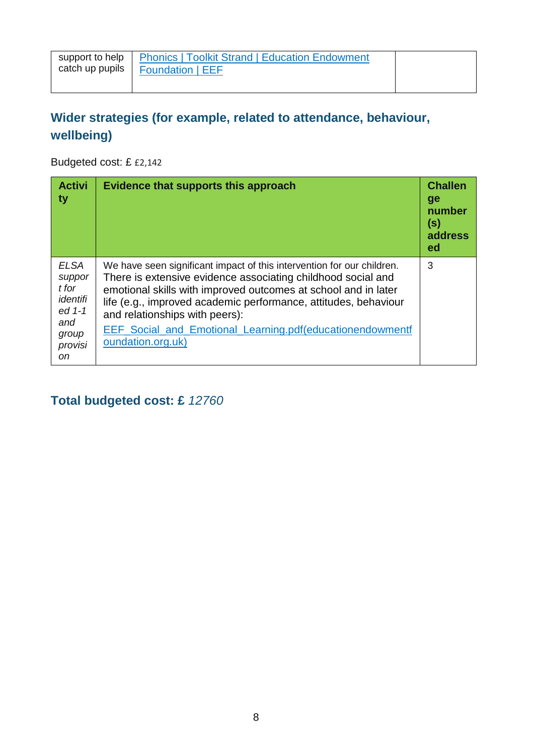| catch up pupils | support to help   Phonics   Toolkit Strand   Education Endowment<br>Foundation   EEF |  |
|-----------------|--------------------------------------------------------------------------------------|--|
|                 |                                                                                      |  |

#### **Wider strategies (for example, related to attendance, behaviour, wellbeing)**

Budgeted cost: £ £2,142

| <b>Activi</b><br>ty                                                                   | Evidence that supports this approach                                                                                                                                                                                                                                                                                                                                                            | <b>Challen</b><br>ge<br>number<br>(s)<br>address<br>ed |
|---------------------------------------------------------------------------------------|-------------------------------------------------------------------------------------------------------------------------------------------------------------------------------------------------------------------------------------------------------------------------------------------------------------------------------------------------------------------------------------------------|--------------------------------------------------------|
| <b>ELSA</b><br>suppor<br>t for<br>identifi<br>ed 1-1<br>and<br>group<br>provisi<br>on | We have seen significant impact of this intervention for our children.<br>There is extensive evidence associating childhood social and<br>emotional skills with improved outcomes at school and in later<br>life (e.g., improved academic performance, attitudes, behaviour<br>and relationships with peers):<br>EEF Social_and_Emotional_Learning.pdf(educationendowmentf<br>oundation.org.uk) | 3                                                      |

**Total budgeted cost: £** *12760*